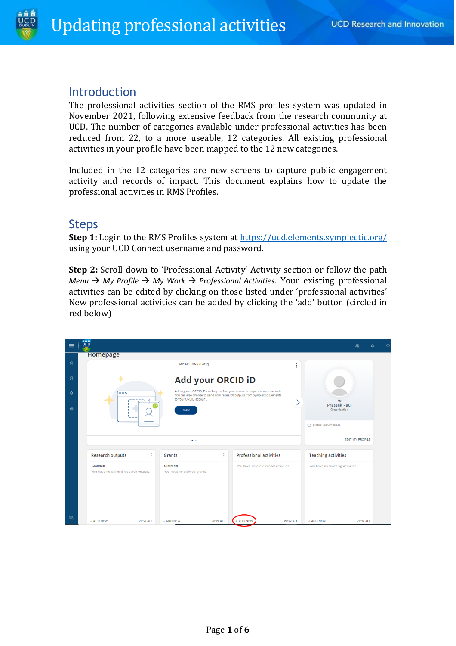

### **Introduction**

The professional activities section of the RMS profiles system was updated in November 2021, following extensive feedback from the research community at UCD. The number of categories available under professional activities has been reduced from 22, to a more useable, 12 categories. All existing professional activities in your profile have been mapped to the 12 new categories.

Included in the 12 categories are new screens to capture public engagement activity and records of impact. This document explains how to update the professional activities in RMS Profiles.

## Steps

**Step 1:** Login to the RMS Profiles system at<https://ucd.elements.symplectic.org/> using your UCD Connect username and password.

**Step 2:** Scroll down to 'Professional Activity' Activity section or follow the path *Menu* → *My Profile* → *My Work* → *Professional Activities*. Your existing professional activities can be edited by clicking on those listed under 'professional activities' New professional activities can be added by clicking the 'add' button (circled in red below)

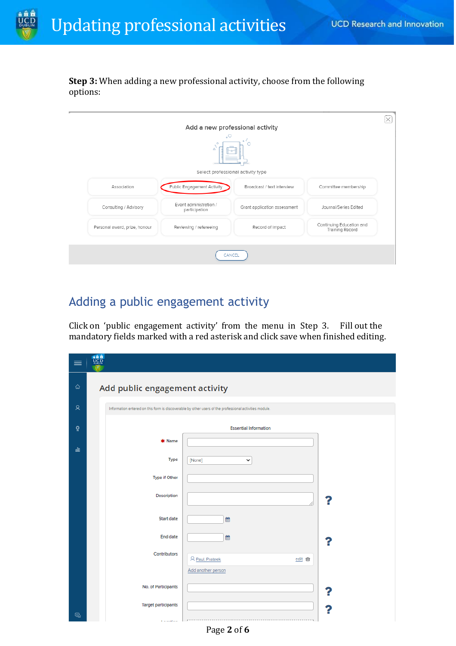

**Step 3:** When adding a new professional activity, choose from the following options:

|                               | Δ                                       |                                   |                                             |
|-------------------------------|-----------------------------------------|-----------------------------------|---------------------------------------------|
|                               |                                         | Select professional activity type |                                             |
| Association                   | Public Engagement Activity              | Broadcast / text interview        | Committee membership                        |
| Consulting / Advisory         | Event administration /<br>participation | Grant application assessment      | Journal/Series Edited                       |
| Personal award, prize, honour | Reviewing / refereeing                  | Record of Impact                  | Continuing Education and<br>Training Record |

## Adding a public engagement activity

Click on 'public engagement activity' from the menu in Step 3. Fill out the mandatory fields marked with a red asterisk and click save when finished editing.

|    | 音音管<br>ucp                     |                                                                                                        |   |
|----|--------------------------------|--------------------------------------------------------------------------------------------------------|---|
| ⋒  | Add public engagement activity |                                                                                                        |   |
| Q  |                                | Information entered on this form is discoverable by other users of the professional activities module. |   |
| ŏ  |                                | <b>Essential Information</b>                                                                           |   |
| dù | * Name                         |                                                                                                        |   |
|    | Type                           | [None]<br>v                                                                                            |   |
|    | Type if Other                  |                                                                                                        |   |
|    | Description                    |                                                                                                        | ĥ |
|    | Start date                     | 巤                                                                                                      |   |
|    | End date                       | 巤                                                                                                      |   |
|    | <b>Contributors</b>            | R Paul, Prateek<br>edit 命                                                                              |   |
|    |                                | Add another person                                                                                     |   |
|    | No. of Participants            |                                                                                                        |   |
|    | <b>Target participants</b>     |                                                                                                        | ĥ |
| මූ | <b>Constitution</b>            |                                                                                                        |   |

Page **2** of **6**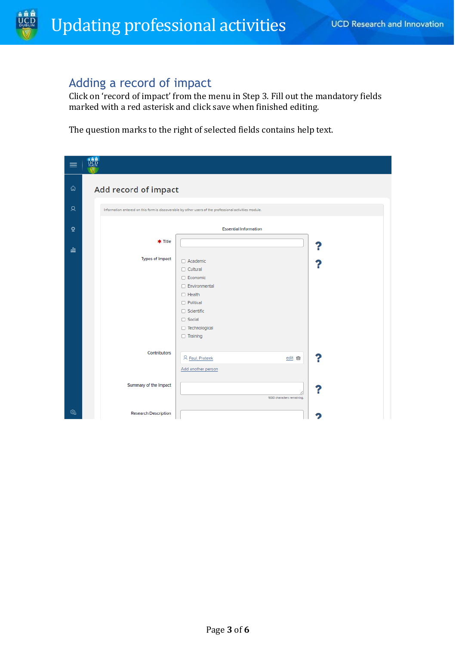# Adding a record of impact

Click on 'record of impact' from the menu in Step 3. Fill out the mandatory fields marked with a red asterisk and click save when finished editing.

The question marks to the right of selected fields contains help text.

|              | a à à<br><u>ucp</u>                                                                                                                                                                                        |
|--------------|------------------------------------------------------------------------------------------------------------------------------------------------------------------------------------------------------------|
| 仚            | Add record of impact                                                                                                                                                                                       |
| Զ            | Information entered on this form is discoverable by other users of the professional activities module.                                                                                                     |
| $\mathbf{Q}$ | <b>Essential Information</b>                                                                                                                                                                               |
| alt          | * Title                                                                                                                                                                                                    |
|              | <b>Types of Impact</b><br>$\Box$ Academic<br>$\Box$ Cultural<br>□ Economic<br>Environmental<br>$\Box$ Health<br>$\Box$ Political<br>$\Box$ Scientific<br>$\Box$ Social<br>Technological<br>$\Box$ Training |
|              | <b>Contributors</b><br>?<br>& Paul, Prateek<br>edit 命<br>Add another person                                                                                                                                |
|              | Summary of the Impact<br>7<br>1000 characters remaining.                                                                                                                                                   |
| త్తి         | <b>Research Description</b>                                                                                                                                                                                |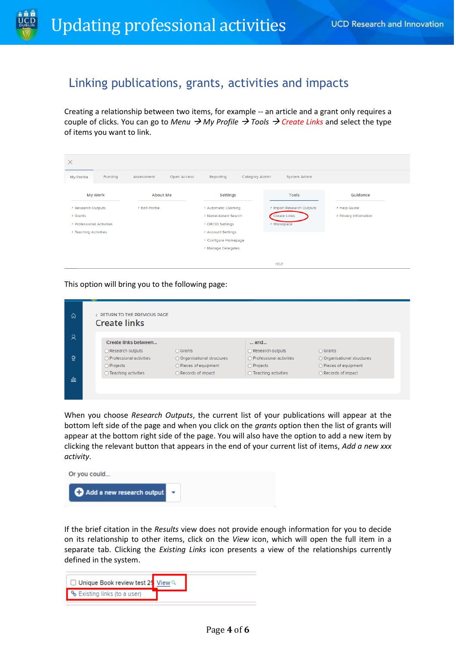

## Linking publications, grants, activities and impacts

Creating a relationship between two items, for example -- an article and a grant only requires a couple of clicks. You can go to *Menu* → *My Profile* → *Tools* → *Create Links* and select the type of items you want to link.

| Category Admin<br>Funding<br>Open Access<br>Reporting<br>System Admin<br>Assessment<br>My Profile<br><b>My Work</b><br><b>Tools</b><br>Guidance<br>About Me<br><b>Settings</b><br>> Research Outputs<br>> Automatic Claiming<br>> Import Research Outputs<br>> Edit Profile<br>> Help Guide<br>Create Links<br>> Name-based Search<br>> Privacy Information<br>> Grants<br>> Workspace<br>> Professional Activities<br>> ORCID Settings<br>> Teaching Activities<br>> Account Settings<br>> Configure Homepage<br>> Manage Delegates | $\times$ |  |  |  |  |  |             |  |
|--------------------------------------------------------------------------------------------------------------------------------------------------------------------------------------------------------------------------------------------------------------------------------------------------------------------------------------------------------------------------------------------------------------------------------------------------------------------------------------------------------------------------------------|----------|--|--|--|--|--|-------------|--|
|                                                                                                                                                                                                                                                                                                                                                                                                                                                                                                                                      |          |  |  |  |  |  |             |  |
|                                                                                                                                                                                                                                                                                                                                                                                                                                                                                                                                      |          |  |  |  |  |  |             |  |
|                                                                                                                                                                                                                                                                                                                                                                                                                                                                                                                                      |          |  |  |  |  |  |             |  |
|                                                                                                                                                                                                                                                                                                                                                                                                                                                                                                                                      |          |  |  |  |  |  |             |  |
|                                                                                                                                                                                                                                                                                                                                                                                                                                                                                                                                      |          |  |  |  |  |  |             |  |
|                                                                                                                                                                                                                                                                                                                                                                                                                                                                                                                                      |          |  |  |  |  |  |             |  |
|                                                                                                                                                                                                                                                                                                                                                                                                                                                                                                                                      |          |  |  |  |  |  |             |  |
|                                                                                                                                                                                                                                                                                                                                                                                                                                                                                                                                      |          |  |  |  |  |  |             |  |
|                                                                                                                                                                                                                                                                                                                                                                                                                                                                                                                                      |          |  |  |  |  |  | <b>HELP</b> |  |

This option will bring you to the following page:

| ⋒    | RETURN TO THE PREVIOUS PAGE<br><b>Create links</b> |                                |                                |                                |
|------|----------------------------------------------------|--------------------------------|--------------------------------|--------------------------------|
| ହ    | Create links between                               |                                | and                            |                                |
|      | ○ Research outputs                                 | ○ Grants                       | ○ Research outputs             | $\bigcirc$ Grants              |
| Ő.   | ○ Professional activities                          | O Organisational structures    | O Professional activities      | ○ Organisational structures    |
|      | O Projects                                         | $\bigcirc$ Pieces of equipment | O Projects                     | $\bigcirc$ Pieces of equipment |
|      | $\bigcirc$ Teaching activities                     | ○ Records of impact            | $\bigcirc$ Teaching activities | $\bigcirc$ Records of impact   |
| nlla |                                                    |                                |                                |                                |
|      |                                                    |                                |                                |                                |

When you choose *Research Outputs*, the current list of your publications will appear at the bottom left side of the page and when you click on the *grants* option then the list of grants will appear at the bottom right side of the page. You will also have the option to add a new item by clicking the relevant button that appears in the end of your current list of items, *Add a new xxx activity*.



If the brief citation in the *Results* view does not provide enough information for you to decide on its relationship to other items, click on the *View* icon, which will open the full item in a separate tab. Clicking the *Existing Links* icon presents a view of the relationships currently defined in the system.

| □ Unique Book review test 25 View Q       |  |
|-------------------------------------------|--|
| • <sup>6</sup> Existing links (to a user) |  |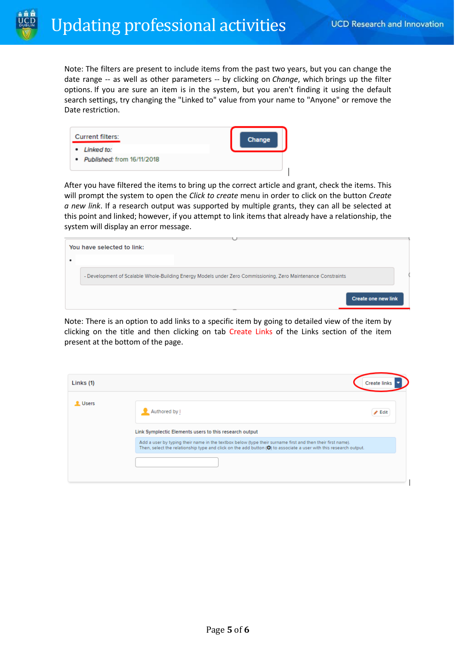Note: The filters are present to include items from the past two years, but you can change the date range -- as well as other parameters -- by clicking on *Change*, which brings up the filter options. If you are sure an item is in the system, but you aren't finding it using the default search settings, try changing the "Linked to" value from your name to "Anyone" or remove the Date restriction.

| <b>Current filters:</b><br>• Linked to: | Change |
|-----------------------------------------|--------|
| • Published: from 16/11/2018            |        |

After you have filtered the items to bring up the correct article and grant, check the items. This will prompt the system to open the *Click to create* menu in order to click on the button *Create a new link*. If a research output was supported by multiple grants, they can all be selected at this point and linked; however, if you attempt to link items that already have a relationship, the system will display an error message.

| You have selected to link:                                                                                    |  |
|---------------------------------------------------------------------------------------------------------------|--|
|                                                                                                               |  |
| - Development of Scalable Whole-Building Energy Models under Zero Commissioning, Zero Maintenance Constraints |  |
| <b>Create one new link</b>                                                                                    |  |

Note: There is an option to add links to a specific item by going to detailed view of the item by clicking on the title and then clicking on tab Create Links of the Links section of the item present at the bottom of the page.

| Links (1)      |                                                                                                                                                                                                                                                      | <b>Create links</b>        |
|----------------|------------------------------------------------------------------------------------------------------------------------------------------------------------------------------------------------------------------------------------------------------|----------------------------|
| <b>L</b> Users | Authored by I                                                                                                                                                                                                                                        | $\blacktriangleright$ Edit |
|                | Link Symplectic Elements users to this research output                                                                                                                                                                                               |                            |
|                | Add a user by typing their name in the textbox below (type their surname first and then their first name).<br>Then, select the relationship type and click on the add button $\left( \bullet \right)$ to associate a user with this research output. |                            |
|                |                                                                                                                                                                                                                                                      |                            |
|                |                                                                                                                                                                                                                                                      |                            |